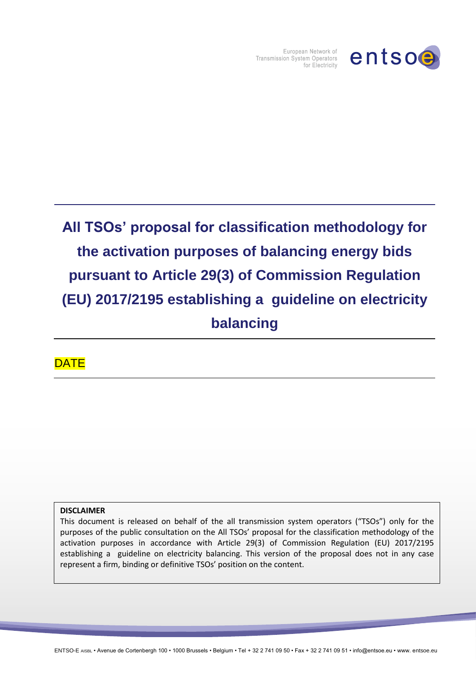

European Network of Transmission System Operators for Electricity

# **All TSOs' proposal for classification methodology for the activation purposes of balancing energy bids pursuant to Article 29(3) of Commission Regulation (EU) 2017/2195 establishing a guideline on electricity balancing**

**DATE** 

#### **DISCLAIMER**

This document is released on behalf of the all transmission system operators ("TSOs") only for the purposes of the public consultation on the All TSOs' proposal for the classification methodology of the activation purposes in accordance with Article 29(3) of Commission Regulation (EU) 2017/2195 establishing a guideline on electricity balancing. This version of the proposal does not in any case represent a firm, binding or definitive TSOs' position on the content.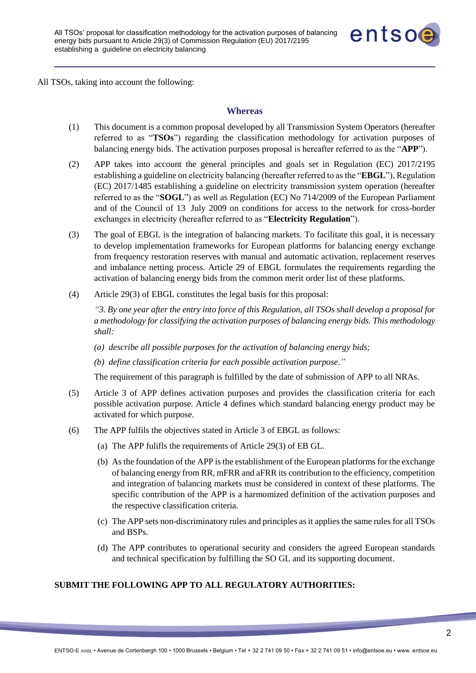

All TSOs, taking into account the following:

#### **Whereas**

- (1) This document is a common proposal developed by all Transmission System Operators (hereafter referred to as "**TSOs**") regarding the classification methodology for activation purposes of balancing energy bids. The activation purposes proposal is hereafter referred to as the "**APP**").
- (2) APP takes into account the general principles and goals set in Regulation (EC) 2017/2195 establishing a guideline on electricity balancing (hereafter referred to as the "**EBGL**"), Regulation (EC) 2017/1485 establishing a guideline on electricity transmission system operation (hereafter referred to as the "**SOGL**") as well as Regulation (EC) No 714/2009 of the European Parliament and of the Council of 13 July 2009 on conditions for access to the network for cross-border exchanges in electricity (hereafter referred to as "**Electricity Regulation**").
- (3) The goal of EBGL is the integration of balancing markets. To facilitate this goal, it is necessary to develop implementation frameworks for European platforms for balancing energy exchange from frequency restoration reserves with manual and automatic activation, replacement reserves and imbalance netting process. Article 29 of EBGL formulates the requirements regarding the activation of balancing energy bids from the common merit order list of these platforms.
- (4) Article 29(3) of EBGL constitutes the legal basis for this proposal:

*"3. By one year after the entry into force of this Regulation, all TSOs shall develop a proposal for a methodology for classifying the activation purposes of balancing energy bids. This methodology shall:*

- *(a) describe all possible purposes for the activation of balancing energy bids;*
- *(b) define classification criteria for each possible activation purpose."*

The requirement of this paragraph is fulfilled by the date of submission of APP to all NRAs.

- (5) Article 3 of APP defines activation purposes and provides the classification criteria for each possible activation purpose. Article 4 defines which standard balancing energy product may be activated for which purpose.
- (6) The APP fulfils the objectives stated in Article 3 of EBGL as follows:
	- (a) The APP fulifls the requirements of Article 29(3) of EB GL.
	- (b) As the foundation of the APP is the establishment of the European platforms for the exchange of balancing energy from RR, mFRR and aFRR its contribution to the efficiency, competition and integration of balancing markets must be considered in context of these platforms. The specific contribution of the APP is a harmomized definition of the activation purposes and the respective classification criteria.
	- (c) The APP sets non-discriminatory rules and principles as it applies the same rules for all TSOs and BSPs.
	- (d) The APP contributes to operational security and considers the agreed European standards and technical specification by fulfilling the SO GL and its supporting document.

#### **SUBMIT THE FOLLOWING APP TO ALL REGULATORY AUTHORITIES:**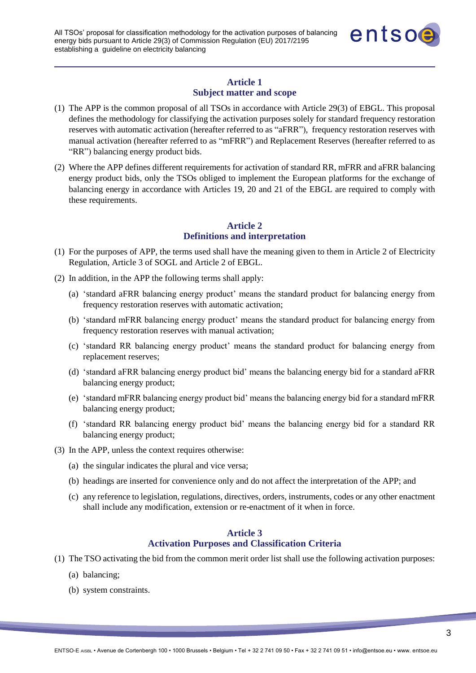

## **Article 1 Subject matter and scope**

- (1) The APP is the common proposal of all TSOs in accordance with Article 29(3) of EBGL. This proposal defines the methodology for classifying the activation purposes solely for standard frequency restoration reserves with automatic activation (hereafter referred to as "aFRR"), frequency restoration reserves with manual activation (hereafter referred to as "mFRR") and Replacement Reserves (hereafter referred to as "RR") balancing energy product bids.
- (2) Where the APP defines different requirements for activation of standard RR, mFRR and aFRR balancing energy product bids, only the TSOs obliged to implement the European platforms for the exchange of balancing energy in accordance with Articles 19, 20 and 21 of the EBGL are required to comply with these requirements.

## **Article 2 Definitions and interpretation**

- (1) For the purposes of APP, the terms used shall have the meaning given to them in Article 2 of Electricity Regulation, Article 3 of SOGL and Article 2 of EBGL.
- (2) In addition, in the APP the following terms shall apply:
	- (a) 'standard aFRR balancing energy product' means the standard product for balancing energy from frequency restoration reserves with automatic activation;
	- (b) 'standard mFRR balancing energy product' means the standard product for balancing energy from frequency restoration reserves with manual activation;
	- (c) 'standard RR balancing energy product' means the standard product for balancing energy from replacement reserves;
	- (d) 'standard aFRR balancing energy product bid' means the balancing energy bid for a standard aFRR balancing energy product;
	- (e) 'standard mFRR balancing energy product bid' means the balancing energy bid for a standard mFRR balancing energy product;
	- (f) 'standard RR balancing energy product bid' means the balancing energy bid for a standard RR balancing energy product;
- (3) In the APP, unless the context requires otherwise:
	- (a) the singular indicates the plural and vice versa;
	- (b) headings are inserted for convenience only and do not affect the interpretation of the APP; and
	- (c) any reference to legislation, regulations, directives, orders, instruments, codes or any other enactment shall include any modification, extension or re-enactment of it when in force.

#### **Article 3**

#### **Activation Purposes and Classification Criteria**

- (1) The TSO activating the bid from the common merit order list shall use the following activation purposes:
	- (a) balancing;
	- (b) system constraints.